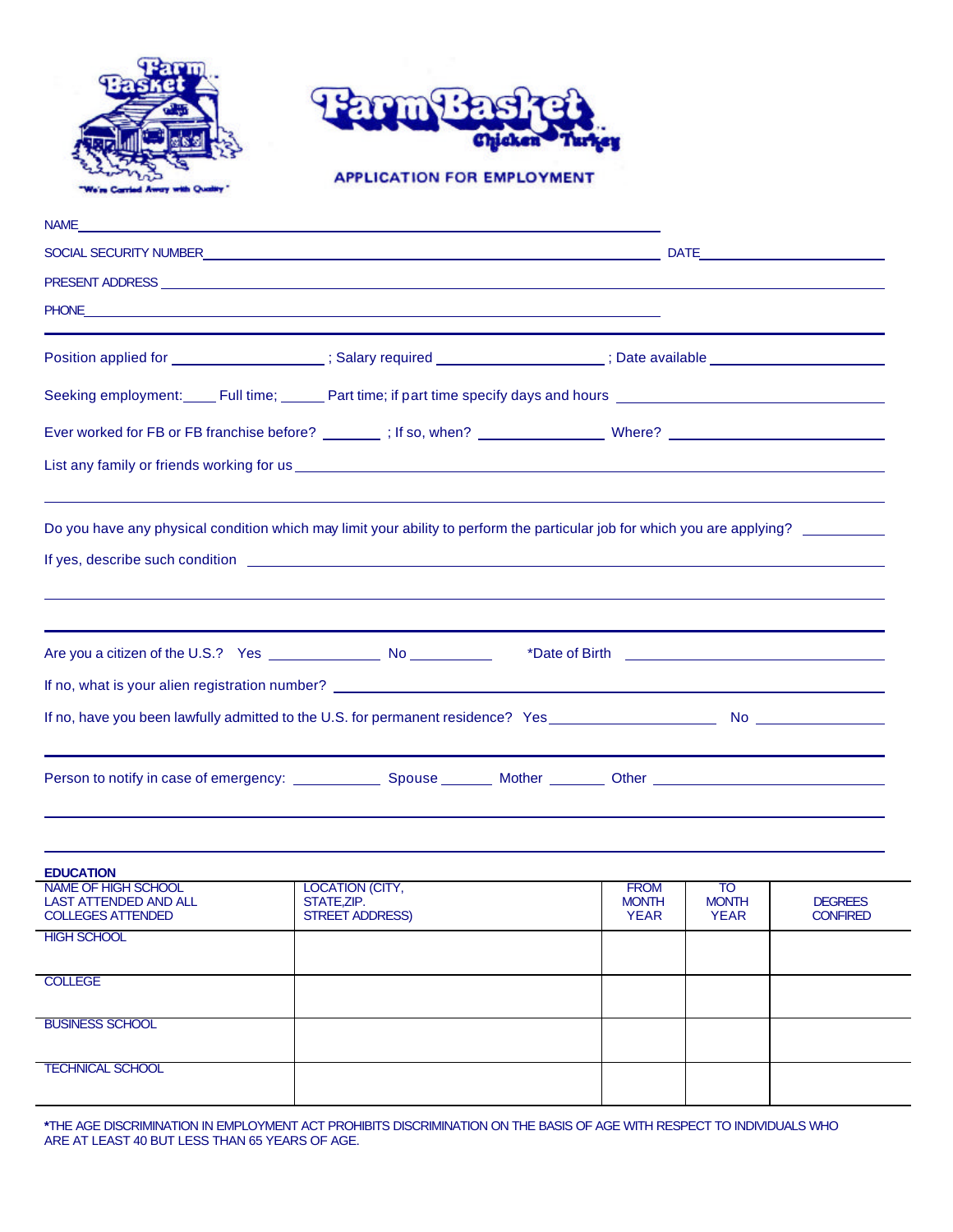



**APPLICATION FOR EMPLOYMENT** 

| <b>NAME</b>                                                                                                                                                                                                                          |                                                                                  |  |                                                                                                                           |
|--------------------------------------------------------------------------------------------------------------------------------------------------------------------------------------------------------------------------------------|----------------------------------------------------------------------------------|--|---------------------------------------------------------------------------------------------------------------------------|
|                                                                                                                                                                                                                                      |                                                                                  |  |                                                                                                                           |
|                                                                                                                                                                                                                                      |                                                                                  |  |                                                                                                                           |
| PHONE <u>And the contract of the contract of the contract of the contract of the contract of the contract of the contract of the contract of the contract of the contract of the contract of the contract of the contract of the</u> | ,我们也不会有什么。""我们的人,我们也不会有什么?""我们的人,我们也不会有什么?""我们的人,我们也不会有什么?""我们的人,我们也不会有什么?""我们的人 |  |                                                                                                                           |
|                                                                                                                                                                                                                                      |                                                                                  |  | Position applied for ___________________; Salary required _________________; Date available __________________            |
|                                                                                                                                                                                                                                      |                                                                                  |  | Seeking employment: Full time; Rant time; if part time specify days and hours Rand Loop Communication Contain             |
|                                                                                                                                                                                                                                      |                                                                                  |  |                                                                                                                           |
| List any family or friends working for us <b>with any control of the control of the control of the control of the control of the control of the control of the control of the control of the control of the control of the contr</b> |                                                                                  |  |                                                                                                                           |
| If yes, describe such condition entertainment of the state of the state of the state of the state of the state of the state of the state of the state of the state of the state of the state of the state of the state of the        |                                                                                  |  | Do you have any physical condition which may limit your ability to perform the particular job for which you are applying? |
|                                                                                                                                                                                                                                      |                                                                                  |  |                                                                                                                           |
|                                                                                                                                                                                                                                      |                                                                                  |  |                                                                                                                           |
|                                                                                                                                                                                                                                      |                                                                                  |  |                                                                                                                           |
|                                                                                                                                                                                                                                      |                                                                                  |  |                                                                                                                           |
|                                                                                                                                                                                                                                      |                                                                                  |  |                                                                                                                           |
|                                                                                                                                                                                                                                      |                                                                                  |  |                                                                                                                           |
|                                                                                                                                                                                                                                      |                                                                                  |  |                                                                                                                           |

| <b>EDUCATION</b>                                                                |                                                          |                                            |                                   |                                   |
|---------------------------------------------------------------------------------|----------------------------------------------------------|--------------------------------------------|-----------------------------------|-----------------------------------|
| NAME OF HIGH SCHOOL<br><b>LAST ATTENDED AND ALL</b><br><b>COLLEGES ATTENDED</b> | LOCATION (CITY,<br>STATE, ZIP.<br><b>STREET ADDRESS)</b> | <b>FROM</b><br><b>MONTH</b><br><b>YEAR</b> | TO<br><b>MONTH</b><br><b>YEAR</b> | <b>DEGREES</b><br><b>CONFIRED</b> |
| <b>HIGH SCHOOL</b>                                                              |                                                          |                                            |                                   |                                   |
| <b>COLLEGE</b>                                                                  |                                                          |                                            |                                   |                                   |
| <b>BUSINESS SCHOOL</b>                                                          |                                                          |                                            |                                   |                                   |
| <b>TECHNICAL SCHOOL</b>                                                         |                                                          |                                            |                                   |                                   |

**\***THE AGE DISCRIMINATION IN EMPLOYMENT ACT PROHIBITS DISCRIMINATION ON THE BASIS OF AGE WITH RESPECT TO INDIVIDUALS WHO ARE AT LEAST 40 BUT LESS THAN 65 YEARS OF AGE.